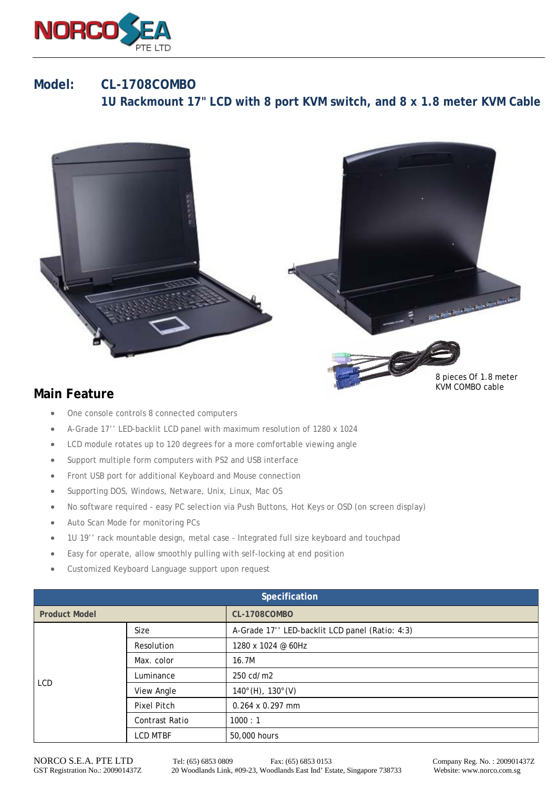

## **Model: CL-1708COMBO 1U Rackmount 17" LCD with 8 port KVM switch, and 8 x 1.8 meter KVM Cable**



## **Main Feature**

- One console controls 8 connected computers
- A-Grade 17'' LED-backlit LCD panel with maximum resolution of 1280 x 1024
- LCD module rotates up to 120 degrees for a more comfortable viewing angle
- Support multiple form computers with PS2 and USB interface
- Front USB port for additional Keyboard and Mouse connection
- Supporting DOS, Windows, Netware, Unix, Linux, Mac OS
- No software required easy PC selection via Push Buttons, Hot Keys or OSD (on screen display)
- Auto Scan Mode for monitoring PCs
- 1U 19'' rack mountable design, metal case Integrated full size keyboard and touchpad
- Easy for operate, allow smoothly pulling with self-locking at end position
- Customized Keyboard Language support upon request

| Specification        |                 |                                                |  |  |
|----------------------|-----------------|------------------------------------------------|--|--|
| <b>Product Model</b> |                 | <b>CL-1708COMBO</b>                            |  |  |
| <b>LCD</b>           | Size            | A-Grade 17" LED-backlit LCD panel (Ratio: 4:3) |  |  |
|                      | Resolution      | 1280 x 1024 @ 60Hz                             |  |  |
|                      | Max. color      | 16.7M                                          |  |  |
|                      | Luminance       | 250 cd/m2                                      |  |  |
|                      | View Angle      | $140^{\circ}$ (H), $130^{\circ}$ (V)           |  |  |
|                      | Pixel Pitch     | $0.264 \times 0.297$ mm                        |  |  |
|                      | Contrast Ratio  | 1000:1                                         |  |  |
|                      | <b>LCD MTBF</b> | 50,000 hours                                   |  |  |